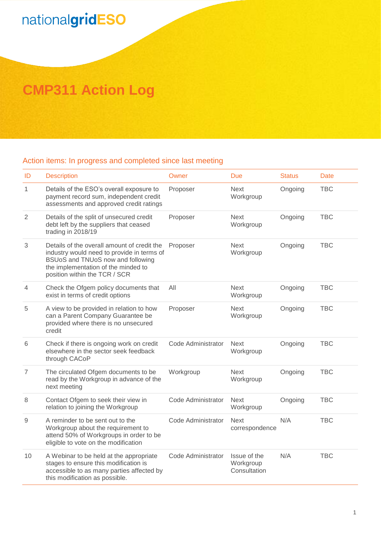## nationalgridESO

## **CMP311 Action Log**

## Action items: In progress and completed since last meeting

| ID             | <b>Description</b>                                                                                                                                                                                     | Owner              | Due                                       | <b>Status</b> | <b>Date</b> |
|----------------|--------------------------------------------------------------------------------------------------------------------------------------------------------------------------------------------------------|--------------------|-------------------------------------------|---------------|-------------|
| $\mathbf{1}$   | Details of the ESO's overall exposure to<br>payment record sum, independent credit<br>assessments and approved credit ratings                                                                          | Proposer           | <b>Next</b><br>Workgroup                  | Ongoing       | <b>TBC</b>  |
| $\overline{2}$ | Details of the split of unsecured credit<br>debt left by the suppliers that ceased<br>trading in 2018/19                                                                                               | Proposer           | <b>Next</b><br>Workgroup                  | Ongoing       | <b>TBC</b>  |
| 3              | Details of the overall amount of credit the<br>industry would need to provide in terms of<br>BSUoS and TNUoS now and following<br>the implementation of the minded to<br>position within the TCR / SCR | Proposer           | <b>Next</b><br>Workgroup                  | Ongoing       | <b>TBC</b>  |
| $\overline{4}$ | Check the Ofgem policy documents that<br>exist in terms of credit options                                                                                                                              | All                | <b>Next</b><br>Workgroup                  | Ongoing       | <b>TBC</b>  |
| 5              | A view to be provided in relation to how<br>can a Parent Company Guarantee be<br>provided where there is no unsecured<br>credit                                                                        | Proposer           | <b>Next</b><br>Workgroup                  | Ongoing       | <b>TBC</b>  |
| 6              | Check if there is ongoing work on credit<br>elsewhere in the sector seek feedback<br>through CACoP                                                                                                     | Code Administrator | <b>Next</b><br>Workgroup                  | Ongoing       | <b>TBC</b>  |
| $\overline{7}$ | The circulated Ofgem documents to be<br>read by the Workgroup in advance of the<br>next meeting                                                                                                        | Workgroup          | <b>Next</b><br>Workgroup                  | Ongoing       | <b>TBC</b>  |
| 8              | Contact Ofgem to seek their view in<br>relation to joining the Workgroup                                                                                                                               | Code Administrator | <b>Next</b><br>Workgroup                  | Ongoing       | <b>TBC</b>  |
| $\mathsf g$    | A reminder to be sent out to the<br>Workgroup about the requirement to<br>attend 50% of Workgroups in order to be<br>eligible to vote on the modification                                              | Code Administrator | <b>Next</b><br>correspondence             | N/A           | <b>TBC</b>  |
| 10             | A Webinar to be held at the appropriate<br>stages to ensure this modification is<br>accessible to as many parties affected by<br>this modification as possible.                                        | Code Administrator | Issue of the<br>Workgroup<br>Consultation | N/A           | <b>TBC</b>  |